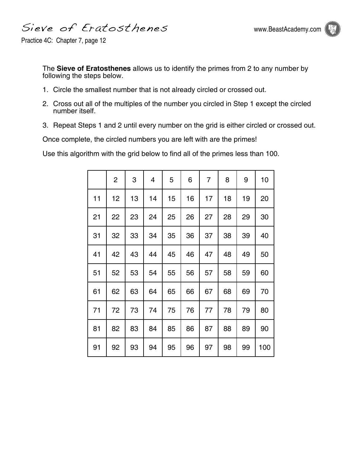Sieve of Eratosthenes



Practice 4C: Chapter 7, page 12

The **Sieve of Eratosthenes** allows us to identify the primes from 2 to any number by following the steps below.

- 1. Circle the smallest number that is not already circled or crossed out.
- 2. Cross out all of the multiples of the number you circled in Step 1 except the circled number itself.
- 3. Repeat Steps 1 and 2 until every number on the grid is either circled or crossed out.

Once complete, the circled numbers you are left with are the primes!

Use this algorithm with the grid below to find all of the primes less than 100.

|    | $\overline{c}$ | 3  | 4  | 5  | 6  | 7  | 8  | 9  | 10  |
|----|----------------|----|----|----|----|----|----|----|-----|
| 11 | 12             | 13 | 14 | 15 | 16 | 17 | 18 | 19 | 20  |
| 21 | 22             | 23 | 24 | 25 | 26 | 27 | 28 | 29 | 30  |
| 31 | 32             | 33 | 34 | 35 | 36 | 37 | 38 | 39 | 40  |
| 41 | 42             | 43 | 44 | 45 | 46 | 47 | 48 | 49 | 50  |
| 51 | 52             | 53 | 54 | 55 | 56 | 57 | 58 | 59 | 60  |
| 61 | 62             | 63 | 64 | 65 | 66 | 67 | 68 | 69 | 70  |
| 71 | 72             | 73 | 74 | 75 | 76 | 77 | 78 | 79 | 80  |
| 81 | 82             | 83 | 84 | 85 | 86 | 87 | 88 | 89 | 90  |
| 91 | 92             | 93 | 94 | 95 | 96 | 97 | 98 | 99 | 100 |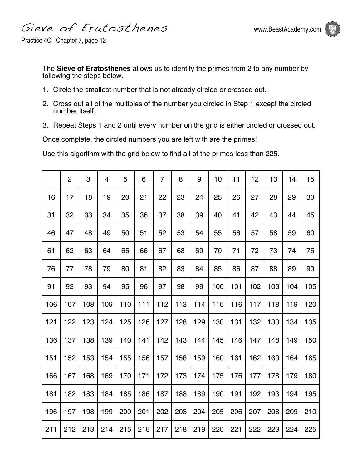Sieve of Eratosthenes



Practice 4C: Chapter 7, page 12

The **Sieve of Eratosthenes** allows us to identify the primes from 2 to any number by following the steps below.

- 1. Circle the smallest number that is not already circled or crossed out.
- 2. Cross out all of the multiples of the number you circled in Step 1 except the circled number itself.
- 3. Repeat Steps 1 and 2 until every number on the grid is either circled or crossed out.

Once complete, the circled numbers you are left with are the primes!

Use this algorithm with the grid below to find all of the primes less than 225.

|     | $\overline{2}$ | 3   | 4   | 5   | 6   | 7   | 8   | 9   | 10  | 11  | 12  | 13  | 14  | 15  |
|-----|----------------|-----|-----|-----|-----|-----|-----|-----|-----|-----|-----|-----|-----|-----|
| 16  | 17             | 18  | 19  | 20  | 21  | 22  | 23  | 24  | 25  | 26  | 27  | 28  | 29  | 30  |
| 31  | 32             | 33  | 34  | 35  | 36  | 37  | 38  | 39  | 40  | 41  | 42  | 43  | 44  | 45  |
| 46  | 47             | 48  | 49  | 50  | 51  | 52  | 53  | 54  | 55  | 56  | 57  | 58  | 59  | 60  |
| 61  | 62             | 63  | 64  | 65  | 66  | 67  | 68  | 69  | 70  | 71  | 72  | 73  | 74  | 75  |
| 76  | 77             | 78  | 79  | 80  | 81  | 82  | 83  | 84  | 85  | 86  | 87  | 88  | 89  | 90  |
| 91  | 92             | 93  | 94  | 95  | 96  | 97  | 98  | 99  | 100 | 101 | 102 | 103 | 104 | 105 |
| 106 | 107            | 108 | 109 | 110 | 111 | 112 | 113 | 114 | 115 | 116 | 117 | 118 | 119 | 120 |
| 121 | 122            | 123 | 124 | 125 | 126 | 127 | 128 | 129 | 130 | 131 | 132 | 133 | 134 | 135 |
| 136 | 137            | 138 | 139 | 140 | 141 | 142 | 143 | 144 | 145 | 146 | 147 | 148 | 149 | 150 |
| 151 | 152            | 153 | 154 | 155 | 156 | 157 | 158 | 159 | 160 | 161 | 162 | 163 | 164 | 165 |
| 166 | 167            | 168 | 169 | 170 | 171 | 172 | 173 | 174 | 175 | 176 | 177 | 178 | 179 | 180 |
| 181 | 182            | 183 | 184 | 185 | 186 | 187 | 188 | 189 | 190 | 191 | 192 | 193 | 194 | 195 |
| 196 | 197            | 198 | 199 | 200 | 201 | 202 | 203 | 204 | 205 | 206 | 207 | 208 | 209 | 210 |
| 211 | 212            | 213 | 214 | 215 | 216 | 217 | 218 | 219 | 220 | 221 | 222 | 223 | 224 | 225 |